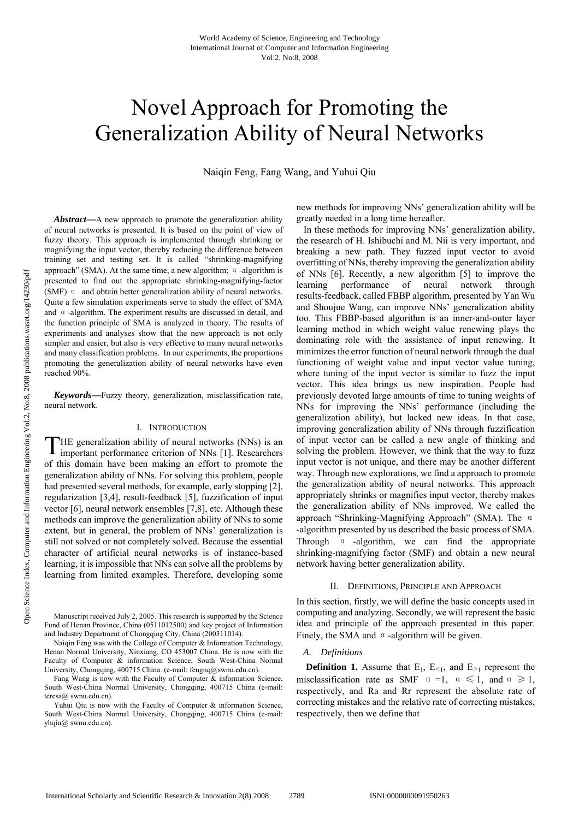# Novel Approach for Promoting the Generalization Ability of Neural Networks

Naiqin Feng, Fang Wang, and Yuhui Qiu

*Abstract***—**A new approach to promote the generalization ability of neural networks is presented. It is based on the point of view of fuzzy theory. This approach is implemented through shrinking or magnifying the input vector, thereby reducing the difference between training set and testing set. It is called "shrinking-magnifying approach" (SMA). At the same time, a new algorithm; α-algorithm is presented to find out the appropriate shrinking-magnifying-factor (SMF) α and obtain better generalization ability of neural networks. Quite a few simulation experiments serve to study the effect of SMA and α-algorithm. The experiment results are discussed in detail, and the function principle of SMA is analyzed in theory. The results of experiments and analyses show that the new approach is not only simpler and easier, but also is very effective to many neural networks and many classification problems. In our experiments, the proportions promoting the generalization ability of neural networks have even reached 90%.

*Keywords***—**Fuzzy theory, generalization, misclassification rate, neural network.

### I. INTRODUCTION

THE generalization ability of neural networks (NNs) is an important performance criterion of NNs [1]. Researchers important performance criterion of NNs [1]. Researchers of this domain have been making an effort to promote the generalization ability of NNs. For solving this problem, people had presented several methods, for example, early stopping [2], regularization [3,4], result-feedback [5], fuzzification of input vector [6], neural network ensembles [7,8], etc. Although these methods can improve the generalization ability of NNs to some extent, but in general, the problem of NNs' generalization is still not solved or not completely solved. Because the essential character of artificial neural networks is of instance-based learning, it is impossible that NNs can solve all the problems by learning from limited examples. Therefore, developing some

Manuscript received July 2, 2005. This research is supported by the Science Fund of Henan Province, China (0511012500) and key project of Information and Industry Department of Chongqing City, China (200311014).

Naiqin Feng was with the College of Computer & Information Technology, Henan Normal University, Xinxiang, CO 453007 China. He is now with the Faculty of Computer & information Science, South West-China Normal University, Chongqing, 400715 China. (e-mail: fengnq@swnu.edu.cn).

Fang Wang is now with the Faculty of Computer & information Science, South West-China Normal University, Chongqing, 400715 China (e-mail: teresa@ swnu.edu.cn).

Yuhui Qiu is now with the Faculty of Computer & information Science, South West-China Normal University, Chongqing, 400715 China (e-mail: yhqiu@ swnu.edu.cn).

new methods for improving NNs' generalization ability will be greatly needed in a long time hereafter.

 In these methods for improving NNs' generalization ability, the research of H. Ishibuchi and M. Nii is very important, and breaking a new path. They fuzzed input vector to avoid overfitting of NNs, thereby improving the generalization ability of NNs [6]. Recently, a new algorithm [5] to improve the learning performance of neural network through results-feedback, called FBBP algorithm, presented by Yan Wu and Shoujue Wang, can improve NNs' generalization ability too. This FBBP-based algorithm is an inner-and-outer layer learning method in which weight value renewing plays the dominating role with the assistance of input renewing. It minimizes the error function of neural network through the dual functioning of weight value and input vector value tuning, where tuning of the input vector is similar to fuzz the input vector. This idea brings us new inspiration. People had previously devoted large amounts of time to tuning weights of NNs for improving the NNs' performance (including the generalization ability), but lacked new ideas. In that case, improving generalization ability of NNs through fuzzification of input vector can be called a new angle of thinking and solving the problem. However, we think that the way to fuzz input vector is not unique, and there may be another different way. Through new explorations, we find a approach to promote the generalization ability of neural networks. This approach appropriately shrinks or magnifies input vector, thereby makes the generalization ability of NNs improved. We called the approach "Shrinking-Magnifying Approach" (SMA). The α -algorithm presented by us described the basic process of SMA. Through α -algorithm, we can find the appropriate shrinking-magnifying factor (SMF) and obtain a new neural network having better generalization ability.

#### II. DEFINITIONS, PRINCIPLE AND APPROACH

In this section, firstly, we will define the basic concepts used in computing and analyzing. Secondly, we will represent the basic idea and principle of the approach presented in this paper. Finely, the SMA and  $\alpha$ -algorithm will be given.

## *A. Definitions*

**Definition 1.** Assume that  $E_1$ ,  $E \leq 1$ , and  $E \geq 1$  represent the misclassification rate as SMF  $\alpha = 1$ ,  $\alpha \le 1$ , and  $\alpha \ge 1$ , respectively, and Ra and Rr represent the absolute rate of correcting mistakes and the relative rate of correcting mistakes, respectively, then we define that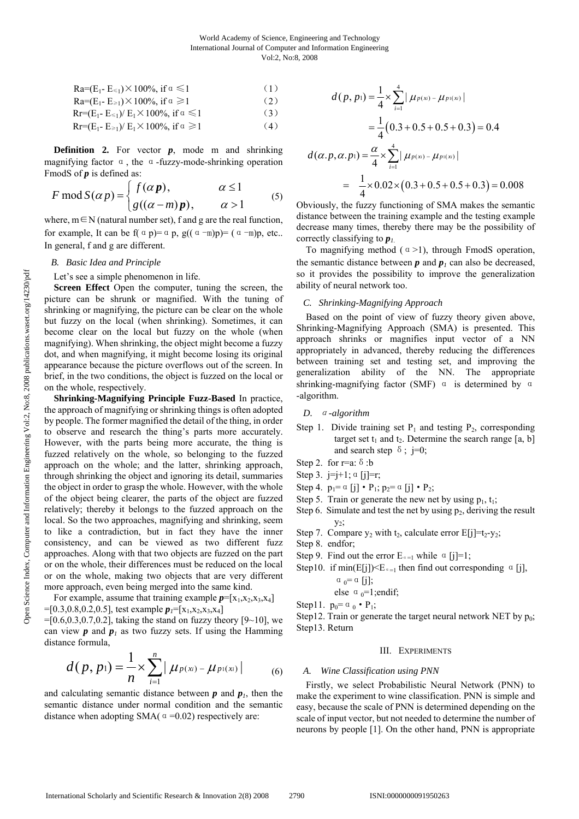$$
Ra = (E1 - E≤1) × 100%, if α ≤ 1
$$
\n(1)  
\n
$$
Ra = (E1 - E≥1) × 100%, if α ≥ 1
$$
\n(2)  
\n
$$
Rr = (E1 - E≤1) / E1 × 100%, if α ≤ 1
$$
\n(3)

 $\text{Rr} = (E_1 - E_{\geq 1})/E_1 \times 100\%, \text{ if } \alpha \geq 1$  (4)

**Definition 2.** For vector *p*, mode m and shrinking magnifying factor  $\alpha$ , the  $\alpha$ -fuzzy-mode-shrinking operation FmodS of *p* is defined as:

$$
F \operatorname{mod} S(\alpha p) = \begin{cases} f(\alpha p), & \alpha \le 1 \\ g((\alpha - m)p), & \alpha > 1 \end{cases}
$$
 (5)

where,  $m \in N$  (natural number set), f and g are the real function, for example, It can be f( $\alpha$  p)= $\alpha$  p, g( $(\alpha -m)p$ )=  $(\alpha -m)p$ , etc... In general, f and g are different.

## *B. Basic Idea and Principle*

Let's see a simple phenomenon in life.

**Screen Effect** Open the computer, tuning the screen, the picture can be shrunk or magnified. With the tuning of shrinking or magnifying, the picture can be clear on the whole but fuzzy on the local (when shrinking). Sometimes, it can become clear on the local but fuzzy on the whole (when magnifying). When shrinking, the object might become a fuzzy dot, and when magnifying, it might become losing its original appearance because the picture overflows out of the screen. In brief, in the two conditions, the object is fuzzed on the local or on the whole, respectively.

**Shrinking-Magnifying Principle Fuzz-Based** In practice, the approach of magnifying or shrinking things is often adopted by people. The former magnified the detail of the thing, in order to observe and research the thing's parts more accurately. However, with the parts being more accurate, the thing is fuzzed relatively on the whole, so belonging to the fuzzed approach on the whole; and the latter, shrinking approach, through shrinking the object and ignoring its detail, summaries the object in order to grasp the whole. However, with the whole of the object being clearer, the parts of the object are fuzzed relatively; thereby it belongs to the fuzzed approach on the local. So the two approaches, magnifying and shrinking, seem to like a contradiction, but in fact they have the inner consistency, and can be viewed as two different fuzz approaches. Along with that two objects are fuzzed on the part or on the whole, their differences must be reduced on the local or on the whole, making two objects that are very different more approach, even being merged into the same kind.

For example, assume that training example  $p=[x_1,x_2,x_3,x_4]$  $=[0.3, 0.8, 0.2, 0.5]$ , test example  $p_1=[x_1, x_2, x_3, x_4]$ 

 $=[0.6, 0.3, 0.7, 0.2]$ , taking the stand on fuzzy theory [9~10], we can view  $p$  and  $p_i$  as two fuzzy sets. If using the Hamming distance formula,

$$
d(p, p_1) = \frac{1}{n} \times \sum_{i=1}^{n} |\mu_{p(x_i)} - \mu_{p(x_i)}|
$$
 (6)

and calculating semantic distance between  $p$  and  $p_i$ , then the semantic distance under normal condition and the semantic distance when adopting SMA( $\alpha$ =0.02) respectively are:

$$
d(p, p_1) = \frac{1}{4} \times \sum_{i=1}^{4} | \mu_{P(x_i)} - \mu_{P(x_i)} |
$$

$$
= \frac{1}{4}(0.3 + 0.5 + 0.5 + 0.3) = 0.4
$$

$$
d(\alpha.p, \alpha.p_1) = \frac{\alpha}{4} \times \sum_{i=1}^{4} |\mu_{p(x_i)} - \mu_{p(x_i)}|
$$

$$
= \frac{1}{4} \times 0.02 \times (0.3 + 0.5 + 0.5 + 0.3) = 0.008
$$

Obviously, the fuzzy functioning of SMA makes the semantic distance between the training example and the testing example decrease many times, thereby there may be the possibility of correctly classifying to *p1*.

To magnifying method  $( \alpha > 1)$ , through FmodS operation, the semantic distance between  $p$  and  $p_l$  can also be decreased, so it provides the possibility to improve the generalization ability of neural network too.

#### *C. Shrinking-Magnifying Approach*

Based on the point of view of fuzzy theory given above, Shrinking-Magnifying Approach (SMA) is presented. This approach shrinks or magnifies input vector of a NN appropriately in advanced, thereby reducing the differences between training set and testing set, and improving the generalization ability of the NN. The appropriate shrinking-magnifying factor (SMF) α is determined by α -algorithm.

## *D.* <sup>α</sup>*-algorithm*

- Step 1. Divide training set  $P_1$  and testing  $P_2$ , corresponding target set  $t_1$  and  $t_2$ . Determine the search range [a, b] and search step  $\delta$ ; j=0;
- Step 2. for r=a:  $\delta$ :b
- Step 3.  $j=j+1$ ;  $\alpha$  [j]=r;
- Step 4.  $p_1 = \alpha$  [j]  $P_1$ ;  $p_2 = \alpha$  [j]  $P_2$ ;
- Step 5. Train or generate the new net by using  $p_1, t_1$ ;
- Step 6. Simulate and test the net by using  $p_2$ , deriving the result  $y_2$ ;
- Step 7. Compare  $y_2$  with  $t_2$ , calculate error  $E[j]=t_2-y_2$ ;
- Step 8. endfor;
- Step 9. Find out the error  $E_{\alpha=1}$  while  $\alpha$  [j]=1;
- Step10. if min(E[j]) $\leq E_{\alpha=1}$  then find out corresponding  $\alpha$  [j],  $\alpha_0 = \alpha$  [j];

else 
$$
\alpha_0=1
$$
;endif;

- Step11.  $p_0 = \alpha_0 \cdot P_1$ ;
- Step12. Train or generate the target neural network NET by  $p_0$ ; Step13. Return

#### III. EXPERIMENTS

#### *A. Wine Classification using PNN*

Firstly, we select Probabilistic Neural Network (PNN) to make the experiment to wine classification. PNN is simple and easy, because the scale of PNN is determined depending on the scale of input vector, but not needed to determine the number of neurons by people [1]. On the other hand, PNN is appropriate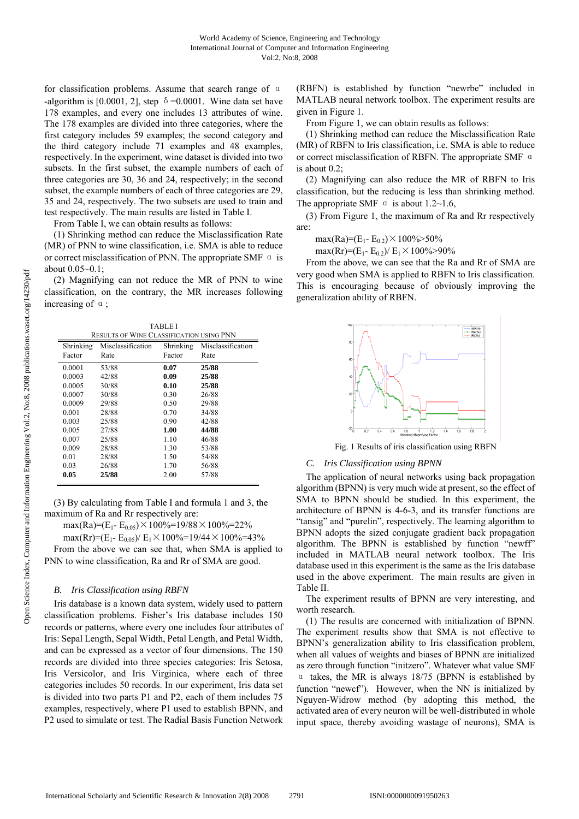for classification problems. Assume that search range of α -algorithm is [0.0001, 2], step  $\delta = 0.0001$ . Wine data set have 178 examples, and every one includes 13 attributes of wine. The 178 examples are divided into three categories, where the first category includes 59 examples; the second category and the third category include 71 examples and 48 examples, respectively. In the experiment, wine dataset is divided into two subsets. In the first subset, the example numbers of each of three categories are 30, 36 and 24, respectively; in the second subset, the example numbers of each of three categories are 29, 35 and 24, respectively. The two subsets are used to train and test respectively. The main results are listed in Table I.

From Table I, we can obtain results as follows:

(1) Shrinking method can reduce the Misclassification Rate (MR) of PNN to wine classification, i.e. SMA is able to reduce or correct misclassification of PNN. The appropriate SMF  $\alpha$  is about 0.05~0.1;

(2) Magnifying can not reduce the MR of PNN to wine classification, on the contrary, the MR increases following increasing of α;

| TABLEI                                   |                   |           |                   |  |  |
|------------------------------------------|-------------------|-----------|-------------------|--|--|
| RESULTS OF WINE CLASSIFICATION USING PNN |                   |           |                   |  |  |
| Shrinking                                | Misclassification | Shrinking | Misclassification |  |  |
| Factor                                   | Rate              | Factor    | Rate              |  |  |
| 0.0001                                   | 53/88             | 0.07      | 25/88             |  |  |
| 0.0003                                   | 42/88             | 0.09      | 25/88             |  |  |
| 0.0005                                   | 30/88             | 0.10      | 25/88             |  |  |
| 0.0007                                   | 30/88             | 0.30      | 26/88             |  |  |
| 0.0009                                   | 29/88             | 0.50      | 29/88             |  |  |
| 0.001                                    | 28/88             | 0.70      | 34/88             |  |  |
| 0.003                                    | 25/88             | 0.90      | 42/88             |  |  |
| 0.005                                    | 27/88             | 1.00      | 44/88             |  |  |
| 0.007                                    | 25/88             | 1.10      | 46/88             |  |  |
| 0.009                                    | 28/88             | 1.30      | 53/88             |  |  |
| 0.01                                     | 28/88             | 1.50      | 54/88             |  |  |
| 0.03                                     | 26/88             | 1.70      | 56/88             |  |  |
| 0.05                                     | 25/88             | 2.00      | 57/88             |  |  |
|                                          |                   |           |                   |  |  |

(3) By calculating from Table I and formula 1 and 3, the maximum of Ra and Rr respectively are:

max(Ra)=(E<sub>1</sub>- E<sub>0.05</sub>) × 100%=19/88 × 100%=22%

max(Rr)=(E<sub>1</sub>- E<sub>0.05</sub>)/ E<sub>1</sub>×100%=19/44×100%=43%

From the above we can see that, when SMA is applied to PNN to wine classification, Ra and Rr of SMA are good.

## *B. Iris Classification using RBFN*

Iris database is a known data system, widely used to pattern classification problems. Fisher's Iris database includes 150 records or patterns, where every one includes four attributes of Iris: Sepal Length, Sepal Width, Petal Length, and Petal Width, and can be expressed as a vector of four dimensions. The 150 records are divided into three species categories: Iris Setosa, Iris Versicolor, and Iris Virginica, where each of three categories includes 50 records. In our experiment, Iris data set is divided into two parts P1 and P2, each of them includes 75 examples, respectively, where P1 used to establish BPNN, and P2 used to simulate or test. The Radial Basis Function Network (RBFN) is established by function "newrbe" included in MATLAB neural network toolbox. The experiment results are given in Figure 1.

From Figure 1, we can obtain results as follows:

(1) Shrinking method can reduce the Misclassification Rate (MR) of RBFN to Iris classification, i.e. SMA is able to reduce or correct misclassification of RBFN. The appropriate SMF α is about 0.2;

(2) Magnifying can also reduce the MR of RBFN to Iris classification, but the reducing is less than shrinking method. The appropriate SMF  $\alpha$  is about 1.2~1.6,

(3) From Figure 1, the maximum of Ra and Rr respectively are:

max(Ra)=(E<sub>1</sub>- E<sub>0.2</sub>) × 100%>50%

max(Rr)=(E<sub>1</sub>- E<sub>0.2</sub>)/ E<sub>1</sub>×100%>90%

From the above, we can see that the Ra and Rr of SMA are very good when SMA is applied to RBFN to Iris classification. This is encouraging because of obviously improving the generalization ability of RBFN.



Fig. 1 Results of iris classification using RBFN

## *C. Iris Classification using BPNN*

The application of neural networks using back propagation algorithm (BPNN) is very much wide at present, so the effect of SMA to BPNN should be studied. In this experiment, the architecture of BPNN is 4-6-3, and its transfer functions are "tansig" and "purelin", respectively. The learning algorithm to BPNN adopts the sized conjugate gradient back propagation algorithm. The BPNN is established by function "newff" included in MATLAB neural network toolbox. The Iris database used in this experiment is the same as the Iris database used in the above experiment. The main results are given in Table II.

The experiment results of BPNN are very interesting, and worth research.

(1) The results are concerned with initialization of BPNN. The experiment results show that SMA is not effective to BPNN's generalization ability to Iris classification problem, when all values of weights and biases of BPNN are initialized as zero through function "initzero". Whatever what value SMF α takes, the MR is always 18/75 (BPNN is established by function "newcf"). However, when the NN is initialized by Nguyen-Widrow method (by adopting this method, the activated area of every neuron will be well-distributed in whole input space, thereby avoiding wastage of neurons), SMA is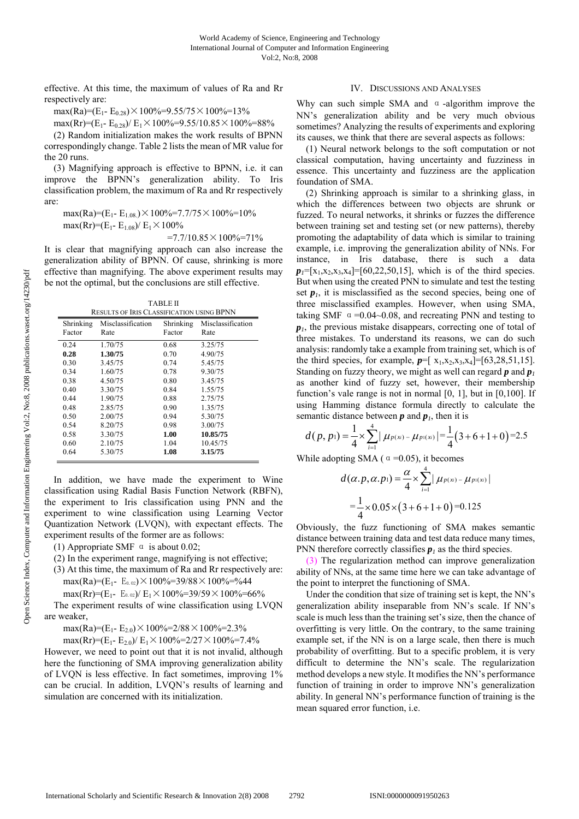effective. At this time, the maximum of values of Ra and Rr respectively are:

$$
\max(Ra)=(E_1-E_{0.28})\times 100\%=9.55/75\times 100\%=13\%
$$

max(Rr)=(E<sub>1</sub>- E<sub>0.28</sub>)/ E<sub>1</sub>×100%=9.55/10.85×100%=88%

(2) Random initialization makes the work results of BPNN correspondingly change. Table 2 lists the mean of MR value for the 20 runs.

(3) Magnifying approach is effective to BPNN, i.e. it can improve the BPNN's generalization ability. To Iris classification problem, the maximum of Ra and Rr respectively are:

max(Ra)=(E<sub>1</sub>- E<sub>1.08.</sub>) × 100%=7.7/75 × 100%=10% max(Rr)=(E<sub>1</sub>- E<sub>1.08</sub>)/ E<sub>1</sub> $\times$ 100%

 $=7.7/10.85\times100\% = 71\%$ 

It is clear that magnifying approach can also increase the generalization ability of BPNN. Of cause, shrinking is more effective than magnifying. The above experiment results may be not the optimal, but the conclusions are still effective.

TABLE II

| <b>RESULTS OF IRIS CLASSIFICATION USING BPNN</b> |                   |           |                   |  |
|--------------------------------------------------|-------------------|-----------|-------------------|--|
| Shrinking                                        | Misclassification | Shrinking | Misclassification |  |
| Factor                                           | Rate              | Factor    | Rate              |  |
| 0.24                                             | 1.70/75           | 0.68      | 3.25/75           |  |
| 0.28                                             | 1.30/75           | 0.70      | 4.90/75           |  |
| 0.30                                             | 3.45/75           | 0.74      | 5.45/75           |  |
| 0.34                                             | 1.60/75           | 0.78      | 9.30/75           |  |
| 0.38                                             | 4.50/75           | 0.80      | 3.45/75           |  |
| 0.40                                             | 3.30/75           | 0.84      | 1.55/75           |  |
| 0.44                                             | 1.90/75           | 0.88      | 2.75/75           |  |
| 0.48                                             | 2.85/75           | 0.90      | 1.35/75           |  |
| 0.50                                             | 2.00/75           | 0.94      | 5.30/75           |  |
| 0.54                                             | 8.20/75           | 0.98      | 3.00/75           |  |
| 0.58                                             | 3.30/75           | 1.00      | 10.85/75          |  |
| 0.60                                             | 2.10/75           | 1.04      | 10.45/75          |  |
| 0.64                                             | 5.30/75           | 1.08      | 3.15/75           |  |
|                                                  |                   |           |                   |  |

In addition, we have made the experiment to Wine classification using Radial Basis Function Network (RBFN), the experiment to Iris classification using PNN and the experiment to wine classification using Learning Vector Quantization Network (LVQN), with expectant effects. The experiment results of the former are as follows:

(1) Appropriate SMF  $\alpha$  is about 0.02;

(2) In the experiment range, magnifying is not effective;

(3) At this time, the maximum of Ra and Rr respectively are: max(Ra)=(E<sub>1</sub>- E<sub>0.02</sub>) × 100%=39/88 × 100%=%44

max(Rr)=(E<sub>1</sub>- E<sub>0.02</sub>)/ E<sub>1</sub> $\times$ 100%=39/59 $\times$ 100%=66%

The experiment results of wine classification using LVQN are weaker,

max(Ra)=(E<sub>1</sub>- E<sub>2.0</sub>) × 100%=2/88 × 100%=2.3%

max(Rr)=(E<sub>1</sub>- E<sub>2.0</sub>)/ E<sub>1</sub>×100%=2/27×100%=7.4%

However, we need to point out that it is not invalid, although here the functioning of SMA improving generalization ability of LVQN is less effective. In fact sometimes, improving 1% can be crucial. In addition, LVQN's results of learning and simulation are concerned with its initialization.

# IV. DISCUSSIONS AND ANALYSES

Why can such simple SMA and  $\alpha$ -algorithm improve the NN's generalization ability and be very much obvious sometimes? Analyzing the results of experiments and exploring its causes, we think that there are several aspects as follows:

(1) Neural network belongs to the soft computation or not classical computation, having uncertainty and fuzziness in essence. This uncertainty and fuzziness are the application foundation of SMA.

(2) Shrinking approach is similar to a shrinking glass, in which the differences between two objects are shrunk or fuzzed. To neural networks, it shrinks or fuzzes the difference between training set and testing set (or new patterns), thereby promoting the adaptability of data which is similar to training example, i.e. improving the generalization ability of NNs. For instance, in Iris database, there is such a data  $p_1 = [x_1, x_2, x_3, x_4] = [60, 22, 50, 15]$ , which is of the third species. But when using the created PNN to simulate and test the testing set  $p_l$ , it is misclassified as the second species, being one of three misclassified examples. However, when using SMA, taking SMF  $\alpha = 0.04 - 0.08$ , and recreating PNN and testing to *p1*, the previous mistake disappears, correcting one of total of three mistakes. To understand its reasons, we can do such analysis: randomly take a example from training set, which is of the third species, for example,  $p=[x_1,x_2,x_3,x_4]=[63,28,51,15]$ . Standing on fuzzy theory, we might as well can regard *p* and *p<sup>1</sup>* as another kind of fuzzy set, however, their membership function's vale range is not in normal [0, 1], but in [0,100]. If using Hamming distance formula directly to calculate the semantic distance between  $p$  and  $p_l$ , then it is

$$
d(p, p_1) = \frac{1}{4} \times \sum_{i=1}^{4} |\mu_{p(x_i)} - \mu_{p(x_i)}| = \frac{1}{4} (3 + 6 + 1 + 0) = 2.5
$$

While adopting SMA ( $\alpha$  =0.05), it becomes

$$
d(\alpha.p, \alpha.p_1) = \frac{\alpha}{4} \times \sum_{i=1}^{4} |\mu_{p(x)-} \mu_{p1(x)}|
$$
  
=  $\frac{1}{4} \times 0.05 \times (3 + 6 + 1 + 0) = 0.125$ 

Obviously, the fuzz functioning of SMA makes semantic distance between training data and test data reduce many times, PNN therefore correctly classifies  $p_l$  as the third species.

(3) The regularization method can improve generalization ability of NNs, at the same time here we can take advantage of the point to interpret the functioning of SMA.

Under the condition that size of training set is kept, the NN's generalization ability inseparable from NN's scale. If NN's scale is much less than the training set's size, then the chance of overfitting is very little. On the contrary, to the same training example set, if the NN is on a large scale, then there is much probability of overfitting. But to a specific problem, it is very difficult to determine the NN's scale. The regularization method develops a new style. It modifies the NN's performance function of training in order to improve NN's generalization ability. In general NN's performance function of training is the mean squared error function, i.e.